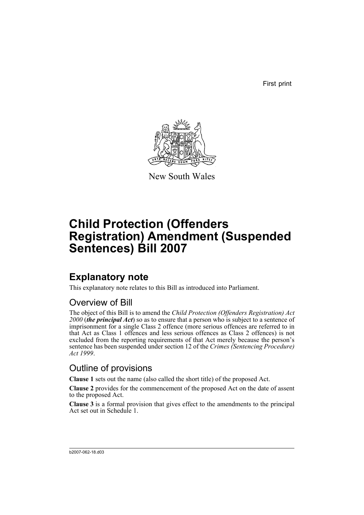First print



New South Wales

# **Child Protection (Offenders Registration) Amendment (Suspended Sentences) Bill 2007**

# **Explanatory note**

This explanatory note relates to this Bill as introduced into Parliament.

## Overview of Bill

The object of this Bill is to amend the *Child Protection (Offenders Registration) Act 2000* (*the principal Act*) so as to ensure that a person who is subject to a sentence of imprisonment for a single Class 2 offence (more serious offences are referred to in that Act as Class 1 offences and less serious offences as Class 2 offences) is not excluded from the reporting requirements of that Act merely because the person's sentence has been suspended under section 12 of the *Crimes (Sentencing Procedure) Act 1999*.

## Outline of provisions

**Clause 1** sets out the name (also called the short title) of the proposed Act.

**Clause 2** provides for the commencement of the proposed Act on the date of assent to the proposed Act.

**Clause 3** is a formal provision that gives effect to the amendments to the principal Act set out in Schedule 1.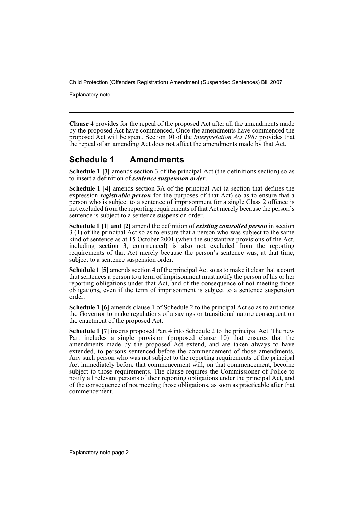Child Protection (Offenders Registration) Amendment (Suspended Sentences) Bill 2007

Explanatory note

**Clause 4** provides for the repeal of the proposed Act after all the amendments made by the proposed Act have commenced. Once the amendments have commenced the proposed Act will be spent. Section 30 of the *Interpretation Act 1987* provides that the repeal of an amending Act does not affect the amendments made by that Act.

### **Schedule 1 Amendments**

**Schedule 1 [3]** amends section 3 of the principal Act (the definitions section) so as to insert a definition of *sentence suspension order*.

**Schedule 1 [4]** amends section 3A of the principal Act (a section that defines the expression *registrable person* for the purposes of that Act) so as to ensure that a person who is subject to a sentence of imprisonment for a single Class 2 offence is not excluded from the reporting requirements of that Act merely because the person's sentence is subject to a sentence suspension order.

**Schedule 1 [1] and [2]** amend the definition of *existing controlled person* in section 3 (1) of the principal Act so as to ensure that a person who was subject to the same kind of sentence as at 15 October 2001 (when the substantive provisions of the Act, including section 3, commenced) is also not excluded from the reporting requirements of that Act merely because the person's sentence was, at that time, subject to a sentence suspension order.

**Schedule 1 [5]** amends section 4 of the principal Act so as to make it clear that a court that sentences a person to a term of imprisonment must notify the person of his or her reporting obligations under that Act, and of the consequence of not meeting those obligations, even if the term of imprisonment is subject to a sentence suspension order.

**Schedule 1 [6]** amends clause 1 of Schedule 2 to the principal Act so as to authorise the Governor to make regulations of a savings or transitional nature consequent on the enactment of the proposed Act.

**Schedule 1 [7]** inserts proposed Part 4 into Schedule 2 to the principal Act. The new Part includes a single provision (proposed clause 10) that ensures that the amendments made by the proposed Act extend, and are taken always to have extended, to persons sentenced before the commencement of those amendments. Any such person who was not subject to the reporting requirements of the principal Act immediately before that commencement will, on that commencement, become subject to those requirements. The clause requires the Commissioner of Police to notify all relevant persons of their reporting obligations under the principal Act, and of the consequence of not meeting those obligations, as soon as practicable after that commencement.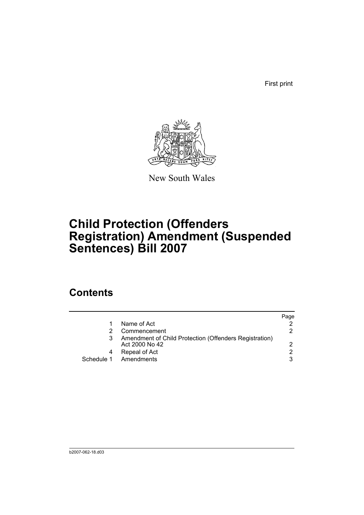First print



New South Wales

# **Child Protection (Offenders Registration) Amendment (Suspended Sentences) Bill 2007**

## **Contents**

|            |                                                                          | Page |
|------------|--------------------------------------------------------------------------|------|
|            | Name of Act                                                              |      |
|            | Commencement                                                             | 2.   |
|            | Amendment of Child Protection (Offenders Registration)<br>Act 2000 No 42 | 2    |
|            | Repeal of Act                                                            | 2    |
| Schedule 1 | Amendments                                                               | 3    |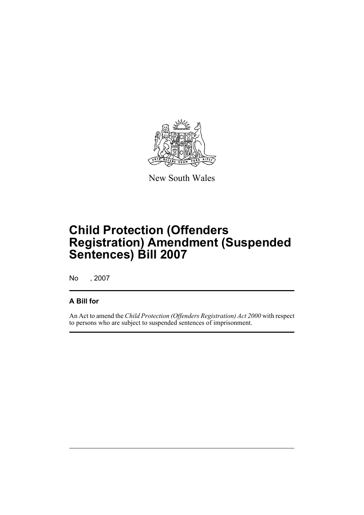

New South Wales

# **Child Protection (Offenders Registration) Amendment (Suspended Sentences) Bill 2007**

No , 2007

### **A Bill for**

An Act to amend the *Child Protection (Offenders Registration) Act 2000* with respect to persons who are subject to suspended sentences of imprisonment.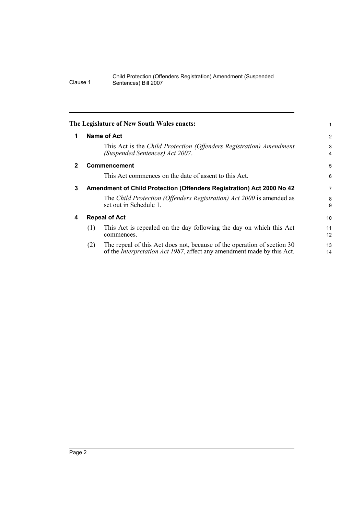<span id="page-5-3"></span><span id="page-5-2"></span><span id="page-5-1"></span><span id="page-5-0"></span>

| The Legislature of New South Wales enacts:            |                                                                                                                                                                                                                                                                                                                                                                                                                                                          |
|-------------------------------------------------------|----------------------------------------------------------------------------------------------------------------------------------------------------------------------------------------------------------------------------------------------------------------------------------------------------------------------------------------------------------------------------------------------------------------------------------------------------------|
| Name of Act                                           | 2                                                                                                                                                                                                                                                                                                                                                                                                                                                        |
| (Suspended Sentences) Act 2007.                       | 3<br>4                                                                                                                                                                                                                                                                                                                                                                                                                                                   |
| Commencement                                          | 5                                                                                                                                                                                                                                                                                                                                                                                                                                                        |
| This Act commences on the date of assent to this Act. | 6                                                                                                                                                                                                                                                                                                                                                                                                                                                        |
|                                                       | 7                                                                                                                                                                                                                                                                                                                                                                                                                                                        |
| set out in Schedule 1.                                | 8<br>9                                                                                                                                                                                                                                                                                                                                                                                                                                                   |
| <b>Repeal of Act</b>                                  | 10                                                                                                                                                                                                                                                                                                                                                                                                                                                       |
| (1)<br>commences.                                     | 11<br>12                                                                                                                                                                                                                                                                                                                                                                                                                                                 |
| (2)                                                   | 13<br>14                                                                                                                                                                                                                                                                                                                                                                                                                                                 |
|                                                       | This Act is the Child Protection (Offenders Registration) Amendment<br>Amendment of Child Protection (Offenders Registration) Act 2000 No 42<br>The Child Protection (Offenders Registration) Act 2000 is amended as<br>This Act is repealed on the day following the day on which this Act<br>The repeal of this Act does not, because of the operation of section 30<br>of the <i>Interpretation Act 1987</i> , affect any amendment made by this Act. |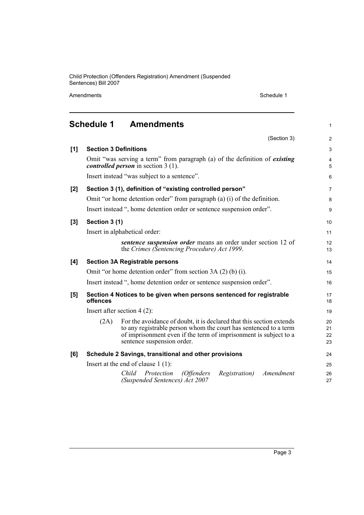Child Protection (Offenders Registration) Amendment (Suspended Sentences) Bill 2007

Amendments Schedule 1

<span id="page-6-0"></span>

|       | <b>Schedule 1</b> | <b>Amendments</b>                                                                                                                                                                                                                          | $\mathbf{1}$                 |
|-------|-------------------|--------------------------------------------------------------------------------------------------------------------------------------------------------------------------------------------------------------------------------------------|------------------------------|
|       |                   | (Section 3)                                                                                                                                                                                                                                | $\overline{2}$               |
| [1]   |                   | <b>Section 3 Definitions</b>                                                                                                                                                                                                               | $\mathfrak{S}$               |
|       |                   | Omit "was serving a term" from paragraph (a) of the definition of existing<br><i>controlled person</i> in section $3(1)$ .                                                                                                                 | $\overline{4}$<br>$\sqrt{5}$ |
|       |                   | Insert instead "was subject to a sentence".                                                                                                                                                                                                | 6                            |
| $[2]$ |                   | Section 3 (1), definition of "existing controlled person"                                                                                                                                                                                  | $\overline{7}$               |
|       |                   | Omit "or home detention order" from paragraph (a) (i) of the definition.                                                                                                                                                                   | 8                            |
|       |                   | Insert instead ", home detention order or sentence suspension order".                                                                                                                                                                      | $\boldsymbol{9}$             |
| $[3]$ | Section 3 (1)     |                                                                                                                                                                                                                                            | 10                           |
|       |                   | Insert in alphabetical order:                                                                                                                                                                                                              | 11                           |
|       |                   | sentence suspension order means an order under section 12 of<br>the Crimes (Sentencing Procedure) Act 1999.                                                                                                                                | 12<br>13                     |
| [4]   |                   | <b>Section 3A Registrable persons</b>                                                                                                                                                                                                      | 14                           |
|       |                   | Omit "or home detention order" from section 3A (2) (b) (i).                                                                                                                                                                                | 15                           |
|       |                   | Insert instead ", home detention order or sentence suspension order".                                                                                                                                                                      | 16                           |
| [5]   | offences          | Section 4 Notices to be given when persons sentenced for registrable                                                                                                                                                                       | 17<br>18                     |
|       |                   | Insert after section $4(2)$ :                                                                                                                                                                                                              | 19                           |
|       | (2A)              | For the avoidance of doubt, it is declared that this section extends<br>to any registrable person whom the court has sentenced to a term<br>of imprisonment even if the term of imprisonment is subject to a<br>sentence suspension order. | 20<br>21<br>22<br>23         |
| [6]   |                   | Schedule 2 Savings, transitional and other provisions                                                                                                                                                                                      | 24                           |
|       |                   | Insert at the end of clause $1(1)$ :                                                                                                                                                                                                       | 25                           |
|       |                   | Child<br>Protection<br>(Offenders<br><i>Registration</i> )<br>Amendment<br>(Suspended Sentences) Act 2007                                                                                                                                  | 26<br>27                     |